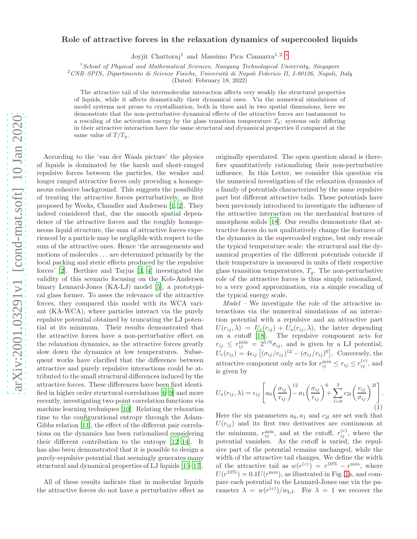## $arXiv:2001.03291v1$  [cond-mat.soft] 10 Jan 2020 [arXiv:2001.03291v1 \[cond-mat.soft\] 10 Jan 2020](http://arxiv.org/abs/2001.03291v1)

## Role of attractive forces in the relaxation dynamics of supercooled liquids

Joyjit Chattoraj<sup>1</sup> and Massimo Pica Ciamarra<sup>1, 2, [∗](#page-4-0)</sup>

 $1$ School of Physical and Mathematical Sciences, Nanyang Technological University, Singapore

 $2$ CNR–SPIN, Dipartimento di Scienze Fisiche, Università di Napoli Federico II, I-80126, Napoli, Italy

(Dated: February 18, 2022)

The attractive tail of the intermolecular interaction affects very weakly the structural properties of liquids, while it affects dramatically their dynamical ones. Via the numerical simulations of model systems not prone to crystallization, both in three and in two spatial dimensions, here we demonstrate that the non-perturbative dynamical effects of the attractive forces are tantamount to a rescaling of the activation energy by the glass transition temperature  $T_g$ : systems only differing in their attractive interaction have the same structural and dynamical properties if compared at the same value of  $T/T_g$ .

According to the 'van der Waals picture' the physics of liquids is dominated by the harsh and short-ranged repulsive forces between the particles, the weaker and longer ranged attractive forces only providing a homogeneous cohesive background. This suggests the possibility of treating the attractive forces perturbatively, as first proposed by Weeks, Chandler and Andersen [\[1](#page-4-1), [2\]](#page-4-2). They indeed considered that, due the smooth spatial dependence of the attractive forces and the roughly homogeneous liquid structure, the sum of attractive forces experienced by a particle may be negligible with respect to the sum of the attractive ones. Hence 'the arrangements and motions of molecules . . . are determined primarily by the local packing and steric effects produced by the repulsive forces' [\[2\]](#page-4-2). Berthier and Tarjus [\[3](#page-4-3), [4\]](#page-4-4) investigated the validity of this scenario focusing on the Kob-Andersen binary Lennard-Jones (KA-LJ) model [\[5](#page-4-5)], a prototypical glass former. To asses the relevance of the attractive forces, they compared this model with its WCA variant (KA-WCA), where particles interact via the purely repulsive potential obtained by truncating the LJ potential at its minimum. Their results demonstrated that the attractive forces have a non-perturbative effect on the relaxation dynamics, as the attractive forces greatly slow down the dynamics at low temperatures. Subsequent works have clarified that the difference between attractive and purely repulsive interactions could be attributed to the small structural differences induced by the attractive forces. These differences have been first identified in higher order structural correlations [\[6](#page-4-6)[–9\]](#page-4-7) and more recently, investigating two-point correlation functions via machine learning techniques [\[10](#page-4-8)]. Relating the relaxation time to the configurational entropy through the Adam-Gibbs relation [\[11\]](#page-4-9), the effect of the different pair correlations on the dynamics has been rationalized considering their different contribution to the entropy [\[12](#page-4-10)[–14\]](#page-4-11). It has also been demonstrated that it is possible to design a purely-repulsive potential that seemingly generates many structural and dynamical properties of LJ liquids [\[15](#page-4-12)[–17\]](#page-4-13).

All of these results indicate that in molecular liquids the attractive forces do not have a perturbative effect as

originally speculated. The open question ahead is therefore quantitatively rationalizing their non-perturbative influence. In this Letter, we consider this question via the numerical investigation of the relaxation dynamics of a family of potentials characterized by the same repulsive part but different attractive tails. These potentials have been previously introduced to investigate the influence of the attractive interaction on the mechanical features of amorphous solids [\[18](#page-4-14)]. Our results demonstrate that attractive forces do not qualitatively change the features of the dynamics in the supercooled regime, but only rescale the typical temperature scale: the structural and the dynamical properties of the different potentials coincide if their temperature is measured in units of their respective glass transition temperatures,  $T_g$ . The non-perturbative role of the attractive forces is thus simply rationalized, to a very good approximation, via a simple rescaling of the typical energy scale.

Model – We investigate the role of the attractive interactions via the numerical simulations of an interaction potential with a repulsive and an attractive part  $U(r_{ij},\lambda) = U_r(r_{ij}) + U_a(r_{ij},\lambda)$ , the latter depending on a cutoff [\[18\]](#page-4-14). The repulsive component acts for  $r_{ij} \leq r_{ij}^{\min} = 2^{1/6} \sigma_{ij}$ , and is given by a LJ potential,  $U_r(r_{ij}) = 4\epsilon_{ij} \left[ (\sigma_{ij}/r_{ij})^{12} - (\sigma_{ij}/r_{ij})^6 \right]$ . Conversely, the attractive component only acts for  $r_{ij}^{\min} \leq r_{ij} \leq r_{ij}^{(c)}$ , and is given by

$$
U_a(r_{ij}, \lambda) = \epsilon_{ij} \left[ a_0 \left( \frac{\sigma_{ij}}{r_{ij}} \right)^{12} a_1 \left( \frac{\sigma_{ij}}{r_{ij}} \right)^6 + \sum_{l=0}^3 c_{2l} \left( \frac{r_{ij}}{\sigma_{ij}} \right)^{2l} \right].
$$
\n(1)

Here the six parameters  $a_0$ ,  $a_1$  and  $c_{2l}$  are set such that  $U(r_{ij})$  and its first two derivatives are continuous at the minimum,  $r_{ij}^{\min}$ , and at the cutoff,  $r_{ij}^{(c)}$ , where the potential vanishes. As the cutoff is varied, the repulsive part of the potential remains unchanged, while the width of the attractive tail changes. We define the width of the attractive tail as  $w(r^{(c)}) = r^{10\%} - r^{\min}$ , where  $U(r^{10\%}) = 0.1U(r^{\min})$ , as illustrated in Fig. [1a](#page-5-0), and compare each potential to the Lennard-Jones one via the parameter  $\lambda = w(r^{(c)})/w_{\text{LJ}}$ . For  $\lambda = 1$  we recover the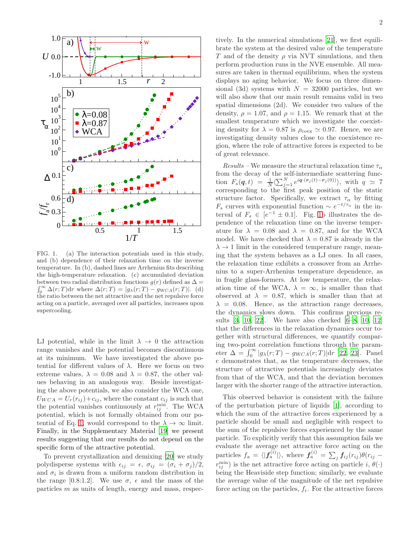

FIG. 1. (a) The interaction potentials used in this study, and (b) dependence of their relaxation time on the inverse temperature. In (b), dashed lines are Arrhenius fits describing the high-temperature relaxation. (c) accumulated deviation  $\int_0^\infty \Delta(r;T)dr$  where  $\Delta(r;T) = |g_\lambda(r;T) - g_{WCA}(r;T)|.$  (d) between two radial distribution functions  $g(r)$  defined as  $\Delta =$ the ratio between the net attractive and the net repulsive force acting on a particle, averaged over all particles, increases upon supercooling.

LJ potential, while in the limit  $\lambda \to 0$  the attraction range vanishes and the potential becomes discontinuous at its minimum. We have investigated the above potential for different values of  $\lambda$ . Here we focus on two extreme values,  $\lambda = 0.08$  and  $\lambda = 0.87$ , the other values behaving in an analogous way. Beside investigating the above potentials, we also consider the WCA one,  $U_{WCA} = U_r(r_{ij}) + c_{ij}$ , where the constant  $c_{ij}$  is such that the potential vanishes continuously at  $r_{ij}^{\min}$ . The WCA potential, which is not formally obtained from our po-tential of Eq. [1,](#page-5-1) would correspond to the  $\lambda \to \infty$  limit. Finally, in the Supplementary Material [\[19](#page-4-15)] we present results suggesting that our results do not depend on the specific form of the attractive potential.

To prevent crystallization and demixing [\[20](#page-4-16)] we study polydisperse systems with  $\epsilon_{ij} = \epsilon$ ,  $\sigma_{ij} = (\sigma_i + \sigma_j)/2$ , and  $\sigma_i$  is drawn from a uniform random distribution in the range [0.8:1.2]. We use  $\sigma$ ,  $\epsilon$  and the mass of the particles m as units of length, energy and mass, respec-

tively. In the numerical simulations [\[21](#page-4-17)], we first equilibrate the system at the desired value of the temperature T and of the density  $\rho$  via NVT simulations, and then perform production runs in the NVE ensemble. All measures are taken in thermal equilibrium, when the system displays no aging behavior. We focus on three dimensional (3d) systems with  $N = 32000$  particles, but we will also show that our main result remains valid in two spatial dimensions (2d). We consider two values of the density,  $\rho = 1.07$ , and  $\rho = 1.15$ . We remark that at the smallest temperature which we investigate the coexisting density for  $\lambda = 0.87$  is  $\rho_{\text{coex}} \simeq 0.97$ . Hence, we are investigating density values close to the coexistence region, where the role of attractive forces is expected to be of great relevance.

Results – We measure the structural relaxation time  $\tau_{\alpha}$ from the decay of the self-intermediate scattering function  $F_s(q,t) = \frac{1}{N} \langle \sum_{j=1}^N e^{iq \cdot (r_j(t)-r_j(0))} \rangle$ , with  $q \simeq 7$ corresponding to the first peak position of the static structure factor. Specifically, we extract  $\tau_{\alpha}$  by fitting  $F_s$  curves with exponential function  $\sim e^{-t/\tau_{\alpha}}$  in the interval of  $F_s \in [e^{-1} \pm 0.1]$ . Fig. [1b](#page-5-0) illustrates the dependence of the relaxation time on the inverse temperature for  $\lambda = 0.08$  and  $\lambda = 0.87$ , and for the WCA model. We have checked that  $\lambda = 0.87$  is already in the  $\lambda \rightarrow 1$  limit in the considered temperature range, meaning that the system behaves as a LJ ones. In all cases, the relaxation time exhibits a crossover from an Arrhenius to a super-Arrhenius temperature dependence, as in fragile glass-formers. At low temperature, the relaxation time of the WCA,  $\lambda = \infty$ , is smaller than that observed at  $\lambda = 0.87$ , which is smaller than that at  $\lambda = 0.08$ . Hence, as the attraction range decreases, the dynamics slows down. This confirms previous results [\[3](#page-4-3), [10,](#page-4-8) [22\]](#page-4-18). We have also checked [\[6](#page-4-6)[–8,](#page-4-19) [10,](#page-4-8) [12](#page-4-10)] that the differences in the relaxation dynamics occur together with structural differences, we quantify comparing two-point correlation functions through the parameter  $\Delta = \int_0^\infty |g_\lambda(r; T) - g_{WCA}(r; T)| dr$  [\[22,](#page-4-18) [23\]](#page-4-20). Panel c demonstrates that, as the temperature decreases, the structure of attractive potentials increasingly deviates from that of the WCA, and that the deviation becomes larger with the shorter range of the attractive interaction.

This observed behavior is consistent with the failure of the perturbation picture of liquids [\[1\]](#page-4-1), according to which the sum of the attractive forces experienced by a particle should be small and negligible with respect to the sum of the repulsive forces experienced by the same particle. To explicitly verify that this assumption fails we evaluate the average net attractive force acting on the particles  $f_a = \langle |f_a^{(i)}| \rangle$ , where  $f_a^{(i)} = \sum_j f_{ij}(r_{ij})\theta(r_{ij} - \theta)$  $r_{ij}^{\min}$ ) is the net attractive force acting on particle  $i, \theta(.)$ being the Heaviside step function; similarly, we evaluate the average value of the magnitude of the net repulsive force acting on the particles,  $f_r$ . For the attractive forces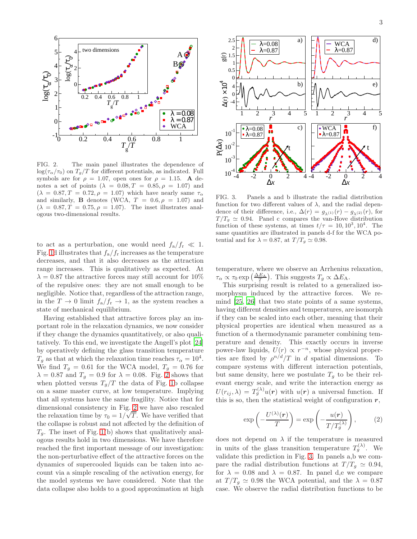

<span id="page-2-0"></span>FIG. 2. The main panel illustrates the dependence of  $\log(\tau_{\alpha}/\tau_0)$  on  $T_q/T$  for different potentials, as indicated. Full symbols are for  $\rho = 1.07$ , open ones for  $\rho = 1.15$ . A denotes a set of points  $(\lambda = 0.08, T = 0.85, \rho = 1.07)$  and  $(\lambda = 0.87, T = 0.72, \rho = 1.07)$  which have nearly same  $\tau_{\alpha}$ and similarly, **B** denotes (WCA,  $T = 0.6, \rho = 1.07$ ) and  $(\lambda = 0.87, T = 0.75, \rho = 1.07)$ . The inset illustrates analogous two-dimensional results.

to act as a perturbation, one would need  $f_a/f_r \ll 1$ . Fig. [1d](#page-5-0) illustrates that  $f_a/f_r$  increases as the temperature decreases, and that it also decreases as the attraction range increases. This is qualitatively as expected. At  $\lambda = 0.87$  the attractive forces may still account for 10% of the repulsive ones: they are not small enough to be negligible. Notice that, regardless of the attraction range, in the  $T \to 0$  limit  $f_a/f_r \to 1$ , as the system reaches a state of mechanical equilibrium.

Having established that attractive forces play an important role in the relaxation dynamics, we now consider if they change the dynamics quantitatively, or also qualitatively. To this end, we investigate the Angell's plot [\[24](#page-4-21)] by operatively defining the glass transition temperature  $T_g$  as that at which the relaxation time reaches  $\tau_\alpha = 10^4$ . We find  $T_g = 0.61$  for the WCA model,  $T_g = 0.76$  for  $\lambda = 0.87$  and  $T<sub>g</sub> = 0.9$  for  $\lambda = 0.08$ . Fig. [2](#page-2-0) shows that when plotted versus  $T_q/T$  the data of Fig. [1b](#page-5-0) collapse on a same master curve, at low temperature. Implying that all systems have the same fragility. Notice that for dimensional consistency in Fig. [2](#page-2-0) we have also rescaled the relaxation time by  $\tau_0 = 1/\sqrt{T}$ . We have verified that the collapse is robust and not affected by the definition of  $T_q$ . The inset of Fig. [1\(](#page-5-0)b) shows that qualitatively analogous results hold in two dimensions. We have therefore reached the first important message of our investigation: the non-perturbative effect of the attractive forces on the dynamics of supercooled liquids can be taken into account via a simple rescaling of the activation energy, for the model systems we have considered. Note that the data collapse also holds to a good approximation at high



<span id="page-2-1"></span>FIG. 3. Panels a and b illustrate the radial distribution function for two different values of  $\lambda$ , and the radial dependence of their difference, i.e.,  $\Delta(r) = g_{\lambda^{(1)}}(r) - g_{\lambda^{(2)}}(r)$ , for  $T/T_q \simeq 0.94$ . Panel c compares the van-Hove distribution function of these systems, at times  $t/\tau = 10, 10^3, 10^4$ . The same quantities are illustrated in panels d-f for the WCA potential and for  $\lambda = 0.87$ , at  $T/T_q \simeq 0.98$ .

temperature, where we observe an Arrhenius relaxation,  $\tau_{\alpha} \propto \tau_0 \exp\left(\frac{\Delta E_{\rm A}}{T}\right)$ . This suggests  $T_g \propto \Delta E_{\rm A}$ .

This surprising result is related to a generalized isomorphysm induced by the attractive forces. We remind [\[25](#page-4-22), [26](#page-4-23)] that two state points of a same systems, having different densities and temperatures, are isomorph if they can be scaled into each other, meaning that their physical properties are identical when measured as a function of a thermodynamic parameter combining temperature and density. This exactly occurs in inverse power-law liquids,  $U(r) \propto r^{-n}$ , whose physical properties are fixed by  $\rho^{n/d}/T$  in d spatial dimensions. To compare systems with different interaction potentials, but same density, here we postulate  $T_a$  to be their relevant energy scale, and write the interaction energy as  $U(r_{ij},\lambda) = T_g^{(\lambda)}u(\mathbf{r})$  with  $u(\mathbf{r})$  a universal function. If this is so, then the statistical weight of configuration  $r$ ,

$$
\exp\left(-\frac{U^{(\lambda)}(r)}{T}\right) = \exp\left(-\frac{u(r)}{T/T_g^{(\lambda)}}\right),\tag{2}
$$

does not depend on  $\lambda$  if the temperature is measured in units of the glass transition temperature  $T_g^{(\lambda)}$ . We validate this prediction in Fig. [3.](#page-2-1) In panels a,b we compare the radial distribution functions at  $T/T_g \simeq 0.94$ , for  $\lambda = 0.08$  and  $\lambda = 0.87$ . In panel d,e we compare at  $T/T_q \simeq 0.98$  the WCA potential, and the  $\lambda = 0.87$ case. We observe the radial distribution functions to be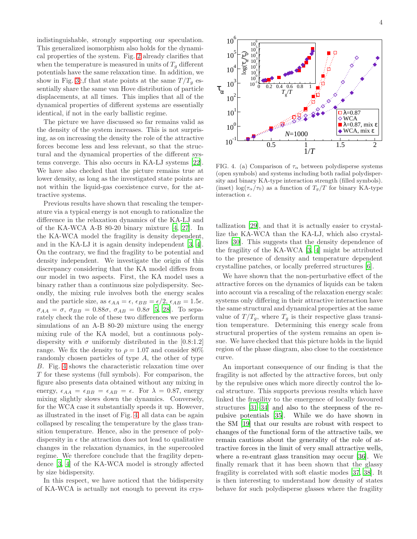indistinguishable, strongly supporting our speculation. This generalized isomorphism also holds for the dynamical properties of the system. Fig. [2](#page-2-0) already clarifies that when the temperature is measured in units of  $T<sub>g</sub>$  different potentials have the same relaxation time. In addition, we show in Fig. [3c](#page-2-1),f that state points at the same  $T/T_q$  essentially share the same van Hove distribution of particle displacements, at all times. This implies that all of the dynamical properties of different systems are essentially identical, if not in the early ballistic regime.

The picture we have discussed so far remains valid as the density of the system increases. This is not surprising, as on increasing the density the role of the attractive forces become less and less relevant, so that the structural and the dynamical properties of the different systems converge. This also occurs in KA-LJ systems [\[22\]](#page-4-18). We have also checked that the picture remains true at lower density, as long as the investigated state points are not within the liquid-gas coexistence curve, for the attractive systems.

Previous results have shown that rescaling the temperature via a typical energy is not enough to rationalize the difference in the relaxation dynamics of the KA-LJ and of the KA-WCA A-B 80-20 binary mixture [\[4](#page-4-4), [27](#page-4-24)]. In the KA-WCA model the fragility is density dependent, and in the KA-LJ it is again density independent [\[3](#page-4-3), [4\]](#page-4-4). On the contrary, we find the fragility to be potential and density independent. We investigate the origin of this discrepancy considering that the KA model differs from our model in two aspects. First, the KA model uses a binary rather than a continuous size polydispersity. Secondly, the mixing rule involves both the energy scales and the particle size, as  $\epsilon_{AA} = \epsilon$ ,  $\epsilon_{BB} = \epsilon/2$ ,  $\epsilon_{AB} = 1.5\epsilon$ .  $\sigma_{AA} = \sigma$ ,  $\sigma_{BB} = 0.88\sigma$ ,  $\sigma_{AB} = 0.8\sigma$  [\[5](#page-4-5), [28\]](#page-4-25). To separately check the role of these two differences we perform simulations of an A-B 80-20 mixture using the energy mixing rule of the KA model, but a continuous polydispersity with  $\sigma$  uniformly distributed in the [0.8:1.2] range. We fix the density to  $\rho = 1.07$  and consider 80% randomly chosen particles of type A, the other of type B. Fig. [4](#page-3-0) shows the characteristic relaxation time over T for these systems (full symbols). For comparison, the figure also presents data obtained without any mixing in energy,  $\epsilon_{AA} = \epsilon_{BB} = \epsilon_{AB} = \epsilon$ . For  $\lambda = 0.87$ , energy mixing slightly slows down the dynamics. Conversely, for the WCA case it substantially speeds it up. However, as illustrated in the inset of Fig. [4,](#page-3-0) all data can be again collapsed by rescaling the temperature by the glass transition temperature. Hence, also in the presence of polydispersity in  $\epsilon$  the attraction does not lead to qualitative changes in the relaxation dynamics, in the supercooled regime. We therefore conclude that the fragility dependence [\[3](#page-4-3), [4\]](#page-4-4) of the KA-WCA model is strongly affected by size bidispersity.

In this respect, we have noticed that the bidispersity of KA-WCA is actually not enough to prevent its crys-



<span id="page-3-0"></span>FIG. 4. (a) Comparison of  $\tau_{\alpha}$  between polydisperse systems (open symbols) and systems including both radial polydispersity and binary KA-type interaction strength (filled symbols). (inset)  $\log(\tau_\alpha/\tau_0)$  as a function of  $T_g/T$  for binary KA-type interaction  $\epsilon$ .

tallization [\[29\]](#page-4-26), and that it is actually easier to crystallize the KA-WCA than the KA-LJ, which also crystallizes [\[30\]](#page-4-27). This suggests that the density dependence of the fragility of the KA-WCA [\[3,](#page-4-3) [4](#page-4-4)] might be attributed to the presence of density and temperature dependent crystalline patches, or locally preferred structures [\[6](#page-4-6)].

We have shown that the non-perturbative effect of the attractive forces on the dynamics of liquids can be taken into account via a rescaling of the relaxation energy scale: systems only differing in their attractive interaction have the same structural and dynamical properties at the same value of  $T/T_g$ , where  $T_g$  is their respective glass transition temperature. Determining this energy scale from structural properties of the system remains an open issue. We have checked that this picture holds in the liquid region of the phase diagram, also close to the coexistence curve.

An important consequence of our finding is that the fragility is not affected by the attractive forces, but only by the repulsive ones which more directly control the local structure. This supports previous results which have linked the fragility to the emergence of locally favoured structures [\[31](#page-4-28)[–34\]](#page-4-29) and also to the steepness of the repulsive potentials [\[35\]](#page-4-30). While we do have shown in the SM [\[19](#page-4-15)] that our results are robust with respect to changes of the functional form of the attractive tails, we remain cautious about the generality of the role of attractive forces in the limit of very small attractive wells, where a re-entrant glass transition may occur [\[36](#page-4-31)]. We finally remark that it has been shown that the glassy fragility is correlated with soft elastic modes [\[37,](#page-4-32) [38](#page-4-33)]. It is then interesting to understand how density of states behave for such polydisperse glasses where the fragility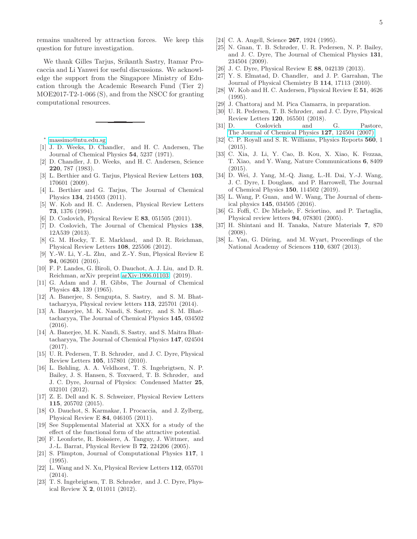remains unaltered by attraction forces. We keep this question for future investigation.

We thank Gilles Tarjus, Srikanth Sastry, Itamar Procaccia and Li Yanwei for useful discussions. We acknowledge the support from the Singapore Ministry of Education through the Academic Research Fund (Tier 2) MOE2017-T2-1-066 (S), and from the NSCC for granting computational resources.

<span id="page-4-0"></span><sup>∗</sup> [massimo@ntu.edu.sg](mailto:massimo@ntu.edu.sg)

- <span id="page-4-1"></span>[1] J. D. Weeks, D. Chandler, and H. C. Andersen, The Journal of Chemical Physics 54, 5237 (1971).
- <span id="page-4-2"></span>[2] D. Chandler, J. D. Weeks, and H. C. Andersen, Science 220, 787 (1983).
- <span id="page-4-3"></span>[3] L. Berthier and G. Tarjus, Physical Review Letters 103, 170601 (2009).
- <span id="page-4-4"></span>[4] L. Berthier and G. Tarjus, The Journal of Chemical Physics 134, 214503 (2011).
- <span id="page-4-5"></span>[5] W. Kob and H. C. Andersen, Physical Review Letters 73, 1376 (1994).
- <span id="page-4-6"></span>[6] D. Coslovich, Physical Review E 83, 051505 (2011).
- [7] D. Coslovich, The Journal of Chemical Physics 138, 12A539 (2013).
- <span id="page-4-19"></span>[8] G. M. Hocky, T. E. Markland, and D. R. Reichman, Physical Review Letters 108, 225506 (2012).
- <span id="page-4-7"></span>[9] Y.-W. Li, Y.-L. Zhu, and Z.-Y. Sun, Physical Review E 94, 062601 (2016).
- <span id="page-4-8"></span>[10] F. P. Landes, G. Biroli, O. Dauchot, A. J. Liu, and D. R. Reichman, arXiv preprint [arXiv:1906.01103](http://arxiv.org/abs/1906.01103) (2019).
- <span id="page-4-9"></span>[11] G. Adam and J. H. Gibbs, The Journal of Chemical Physics 43, 139 (1965).
- <span id="page-4-10"></span>[12] A. Banerjee, S. Sengupta, S. Sastry, and S. M. Bhattacharyya, Physical review letters 113, 225701 (2014).
- [13] A. Banerjee, M. K. Nandi, S. Sastry, and S. M. Bhattacharyya, The Journal of Chemical Physics 145, 034502  $(2016)$
- <span id="page-4-11"></span>[14] A. Banerjee, M. K. Nandi, S. Sastry, and S. Maitra Bhattacharyya, The Journal of Chemical Physics 147, 024504  $(2017)$ .
- <span id="page-4-12"></span>[15] U. R. Pedersen, T. B. Schrøder, and J. C. Dyre, Physical Review Letters 105, 157801 (2010).
- [16] L. Bøhling, A. A. Veldhorst, T. S. Ingebrigtsen, N. P. Bailey, J. S. Hansen, S. Toxvaerd, T. B. Schrøder, and J. C. Dyre, Journal of Physics: Condensed Matter 25, 032101 (2012).
- <span id="page-4-13"></span>[17] Z. E. Dell and K. S. Schweizer, Physical Review Letters 115, 205702 (2015).
- <span id="page-4-14"></span>[18] O. Dauchot, S. Karmakar, I. Procaccia, and J. Zylberg, Physical Review E 84, 046105 (2011).
- <span id="page-4-15"></span>[19] See Supplemental Material at XXX for a study of the effect of the functional form of the attractive potential.
- <span id="page-4-16"></span>[20] F. Leonforte, R. Boissiere, A. Tanguy, J. Wittmer, and J.-L. Barrat, Physical Review B 72, 224206 (2005).
- <span id="page-4-17"></span>[21] S. Plimpton, Journal of Computational Physics 117, 1 (1995).
- <span id="page-4-18"></span>[22] L. Wang and N. Xu, Physical Review Letters 112, 055701 (2014).
- <span id="page-4-20"></span>[23] T. S. Ingebrigtsen, T. B. Schrøder, and J. C. Dyre, Physical Review X 2, 011011 (2012).
- <span id="page-4-21"></span>[24] C. A. Angell, Science 267, 1924 (1995).
- <span id="page-4-22"></span>[25] N. Gnan, T. B. Schrøder, U. R. Pedersen, N. P. Bailey, and J. C. Dyre, The Journal of Chemical Physics 131, 234504 (2009).
- <span id="page-4-23"></span>[26] J. C. Dyre, Physical Review E 88, 042139 (2013).
- <span id="page-4-24"></span>[27] Y. S. Elmatad, D. Chandler, and J. P. Garrahan, The Journal of Physical Chemistry B 114, 17113 (2010).
- <span id="page-4-25"></span>[28] W. Kob and H. C. Andersen, Physical Review E 51, 4626 (1995).
- <span id="page-4-26"></span>[29] J. Chattoraj and M. Pica Ciamarra, in preparation.
- <span id="page-4-27"></span>[30] U. R. Pedersen, T. B. Schrøder, and J. C. Dyre, Physical Review Letters 120, 165501 (2018).
- <span id="page-4-28"></span>[31] D. Coslovich and G. Pastore, [The Journal of Chemical Physics](http://dx.doi.org/10.1063/1.2773716) 127, 124504 (2007).
- [32] C. P. Royall and S. R. Williams, Physics Reports **560**, 1 (2015).
- [33] C. Xia, J. Li, Y. Cao, B. Kou, X. Xiao, K. Fezzaa, T. Xiao, and Y. Wang, Nature Communications 6, 8409 (2015).
- <span id="page-4-29"></span>[34] D. Wei, J. Yang, M.-Q. Jiang, L.-H. Dai, Y.-J. Wang, J. C. Dyre, I. Douglass, and P. Harrowell, The Journal of Chemical Physics 150, 114502 (2019).
- <span id="page-4-30"></span>[35] L. Wang, P. Guan, and W. Wang, The Journal of chemical physics 145, 034505 (2016).
- <span id="page-4-31"></span>[36] G. Foffi, C. De Michele, F. Sciortino, and P. Tartaglia, Physical review letters 94, 078301 (2005).
- <span id="page-4-32"></span>[37] H. Shintani and H. Tanaka, Nature Materials 7, 870 (2008).
- <span id="page-4-33"></span>[38] L. Yan, G. Düring, and M. Wyart, Proceedings of the National Academy of Sciences 110, 6307 (2013).